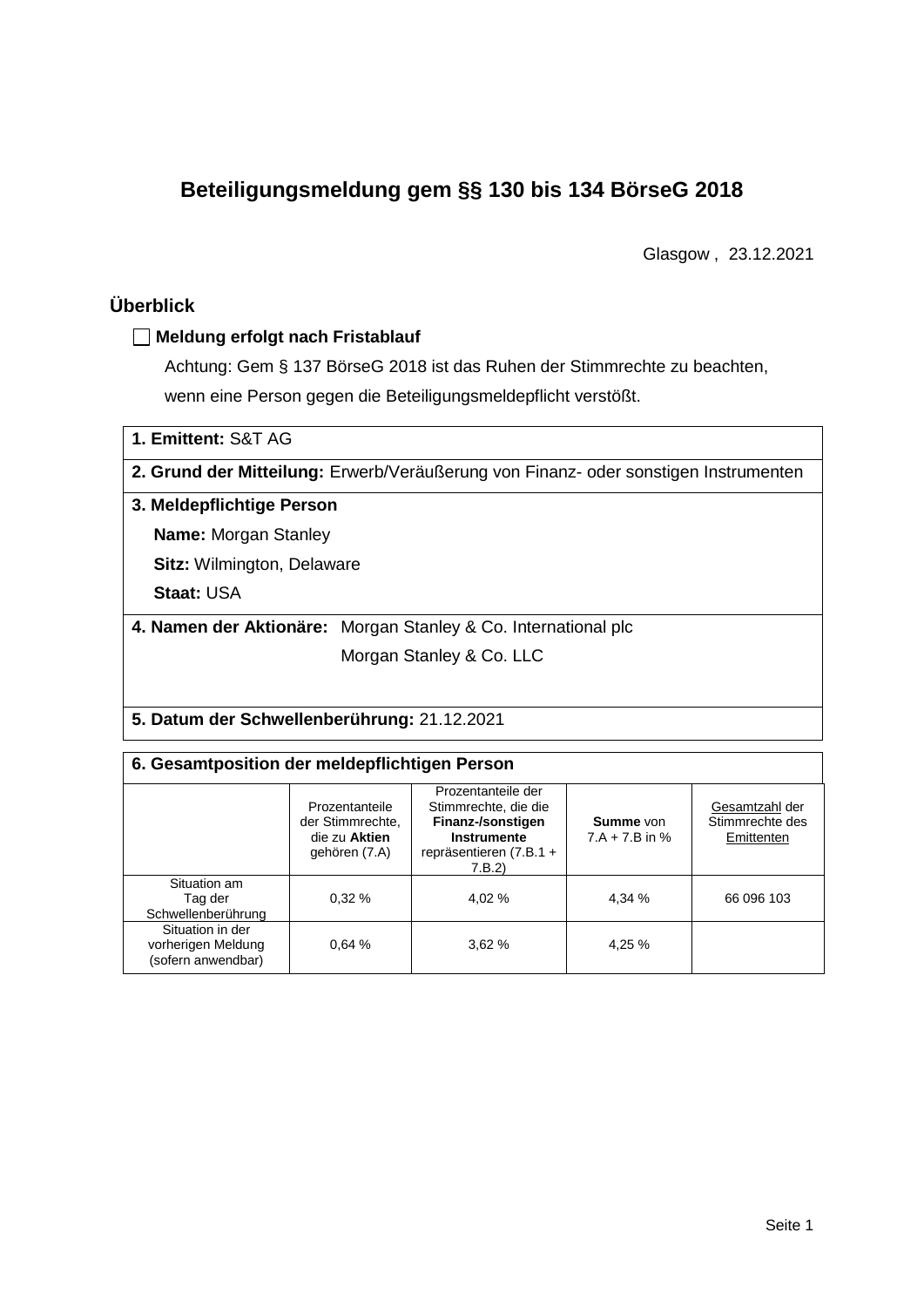# **Beteiligungsmeldung gem §§ 130 bis 134 BörseG 2018**

Glasgow , 23.12.2021

# **Überblick**

### **Meldung erfolgt nach Fristablauf**

Achtung: Gem § 137 BörseG 2018 ist das Ruhen der Stimmrechte zu beachten, wenn eine Person gegen die Beteiligungsmeldepflicht verstößt.

| 1. Emittent: S&T AG               |                                                                                     |  |  |  |  |  |
|-----------------------------------|-------------------------------------------------------------------------------------|--|--|--|--|--|
|                                   | 2. Grund der Mitteilung: Erwerb/Veräußerung von Finanz- oder sonstigen Instrumenten |  |  |  |  |  |
| 3. Meldepflichtige Person         |                                                                                     |  |  |  |  |  |
| <b>Name: Morgan Stanley</b>       |                                                                                     |  |  |  |  |  |
| <b>Sitz: Wilmington, Delaware</b> |                                                                                     |  |  |  |  |  |
| <b>Staat: USA</b>                 |                                                                                     |  |  |  |  |  |
|                                   | 4. Namen der Aktionäre: Morgan Stanley & Co. International plc                      |  |  |  |  |  |
|                                   | Morgan Stanley & Co. LLC                                                            |  |  |  |  |  |
|                                   |                                                                                     |  |  |  |  |  |

#### **5. Datum der Schwellenberührung:** 21.12.2021

### **6. Gesamtposition der meldepflichtigen Person**

|                                                              | Prozentanteile<br>der Stimmrechte.<br>die zu Aktien<br>gehören (7.A) | Prozentanteile der<br>Stimmrechte, die die<br>Finanz-/sonstigen<br>Instrumente<br>repräsentieren (7.B.1 +<br>7.B.2) | <b>Summe</b> von<br>$7.A + 7.B$ in % | Gesamtzahl der<br>Stimmrechte des<br>Emittenten |  |  |
|--------------------------------------------------------------|----------------------------------------------------------------------|---------------------------------------------------------------------------------------------------------------------|--------------------------------------|-------------------------------------------------|--|--|
| Situation am<br>Tag der<br>Schwellenberührung                | 0.32%                                                                | 4.02 %                                                                                                              | 4,34 %                               | 66 096 103                                      |  |  |
| Situation in der<br>vorherigen Meldung<br>(sofern anwendbar) | 0.64%                                                                | 3.62%                                                                                                               | 4,25 %                               |                                                 |  |  |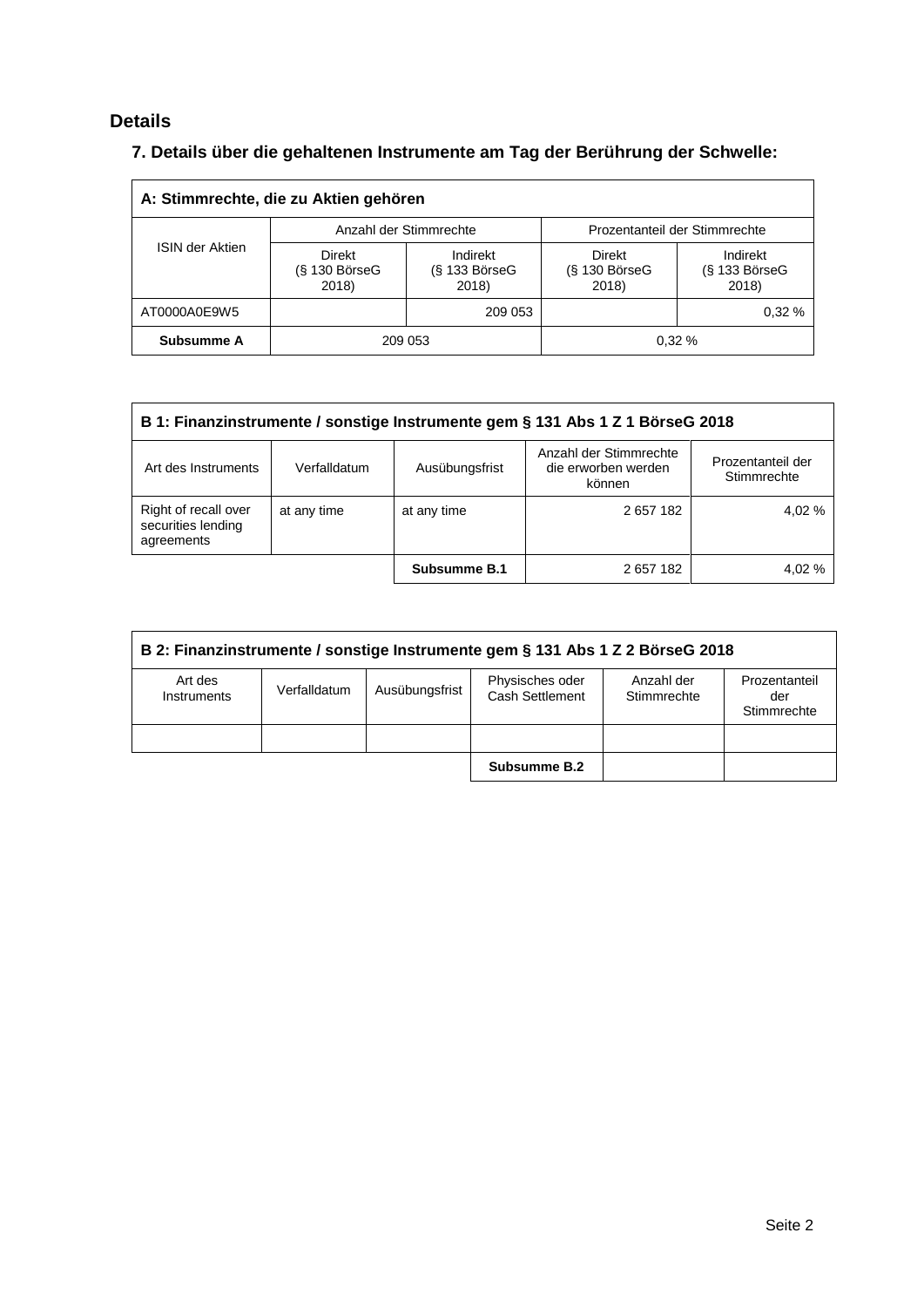# **Details**

# **7. Details über die gehaltenen Instrumente am Tag der Berührung der Schwelle:**

| A: Stimmrechte, die zu Aktien gehören |                                    |                                                         |                                    |                                      |  |  |  |
|---------------------------------------|------------------------------------|---------------------------------------------------------|------------------------------------|--------------------------------------|--|--|--|
|                                       |                                    | Anzahl der Stimmrechte<br>Prozentanteil der Stimmrechte |                                    |                                      |  |  |  |
| <b>ISIN der Aktien</b>                | Direkt<br>$(S$ 130 BörseG<br>2018) | Indirekt<br>$(S$ 133 BörseG<br>2018)                    | Direkt<br>$(S$ 130 BörseG<br>2018) | Indirekt<br>$(S$ 133 BörseG<br>2018) |  |  |  |
| AT0000A0E9W5                          |                                    | 209 053                                                 |                                    | 0.32%                                |  |  |  |
| Subsumme A                            |                                    | 209 053                                                 |                                    | 0.32%                                |  |  |  |

| B 1: Finanzinstrumente / sonstige Instrumente gem § 131 Abs 1 Z 1 BörseG 2018                                                                        |             |              |           |       |  |  |
|------------------------------------------------------------------------------------------------------------------------------------------------------|-------------|--------------|-----------|-------|--|--|
| Anzahl der Stimmrechte<br>Prozentanteil der<br>Art des Instruments<br>Ausübungsfrist<br>die erworben werden<br>Verfalldatum<br>Stimmrechte<br>können |             |              |           |       |  |  |
| Right of recall over<br>securities lending<br>agreements                                                                                             | at any time | at any time  | 2 657 182 | 4.02% |  |  |
|                                                                                                                                                      |             | Subsumme B.1 | 2657182   | 4.02% |  |  |

| B 2: Finanzinstrumente / sonstige Instrumente gem § 131 Abs 1 Z 2 BörseG 2018                                               |  |  |              |  |                                     |  |
|-----------------------------------------------------------------------------------------------------------------------------|--|--|--------------|--|-------------------------------------|--|
| Physisches oder<br>Art des<br>Anzahl der<br>Ausübungsfrist<br>Verfalldatum<br>Cash Settlement<br>Stimmrechte<br>Instruments |  |  |              |  | Prozentanteil<br>der<br>Stimmrechte |  |
|                                                                                                                             |  |  |              |  |                                     |  |
|                                                                                                                             |  |  | Subsumme B.2 |  |                                     |  |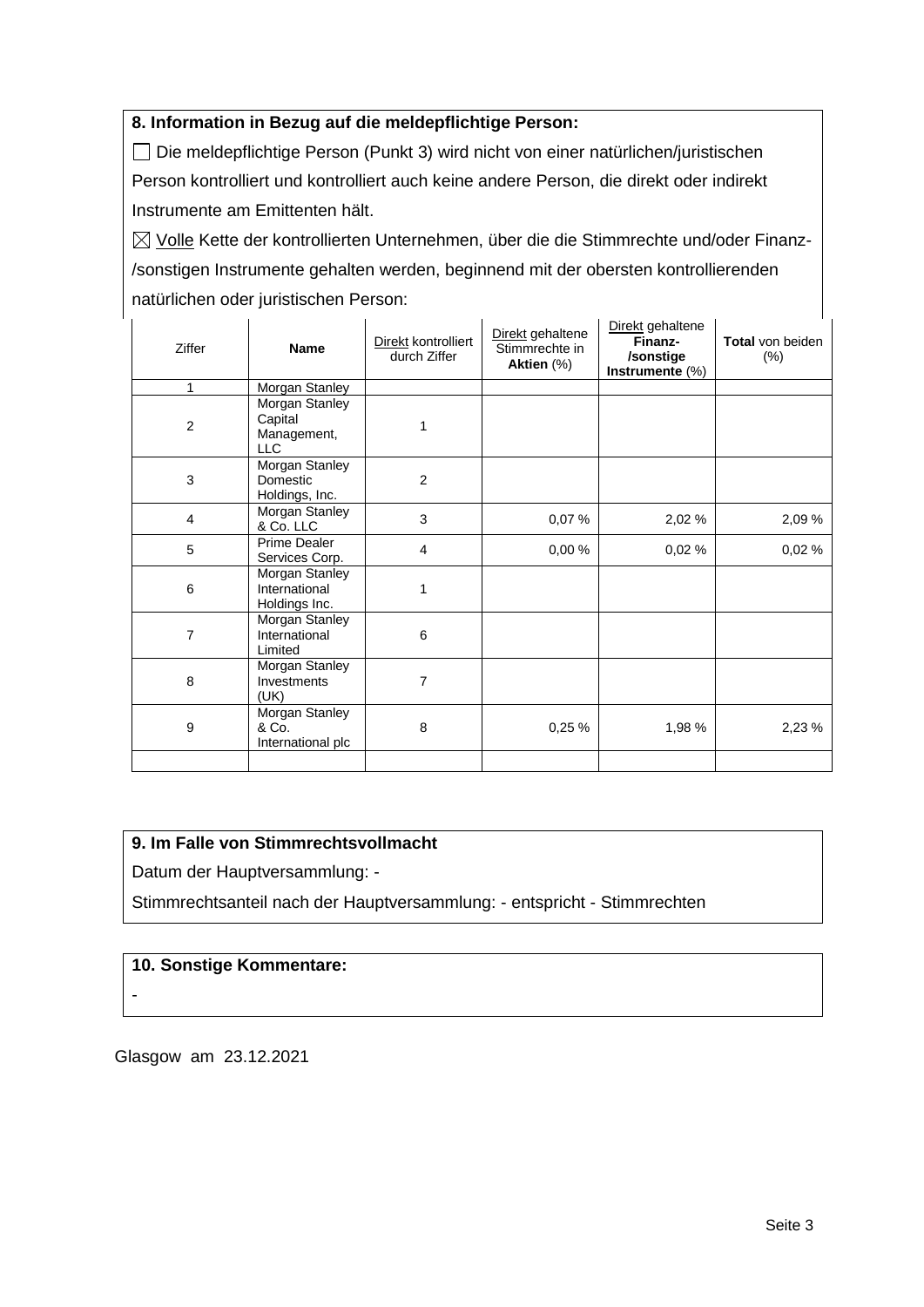### **8. Information in Bezug auf die meldepflichtige Person:**

Die meldepflichtige Person (Punkt 3) wird nicht von einer natürlichen/juristischen Person kontrolliert und kontrolliert auch keine andere Person, die direkt oder indirekt Instrumente am Emittenten hält.

 $\boxtimes$  Volle Kette der kontrollierten Unternehmen, über die die Stimmrechte und/oder Finanz-/sonstigen Instrumente gehalten werden, beginnend mit der obersten kontrollierenden natürlichen oder juristischen Person:

| Ziffer           | <b>Name</b>                                            | Direkt kontrolliert<br>durch Ziffer | Direkt gehaltene<br>Stimmrechte in<br>Aktien (%) | Direkt gehaltene<br>Finanz-<br>/sonstige<br>Instrumente $(\%)$ | Total von beiden<br>$(\%)$ |
|------------------|--------------------------------------------------------|-------------------------------------|--------------------------------------------------|----------------------------------------------------------------|----------------------------|
| 1                | Morgan Stanley                                         |                                     |                                                  |                                                                |                            |
| $\boldsymbol{2}$ | Morgan Stanley<br>Capital<br>Management,<br><b>LLC</b> | 1                                   |                                                  |                                                                |                            |
| 3                | Morgan Stanley<br>Domestic<br>Holdings, Inc.           | $\overline{2}$                      |                                                  |                                                                |                            |
| $\overline{4}$   | Morgan Stanley<br>& Co. LLC                            | 3                                   | 0,07%                                            | 2,02 %                                                         | 2,09 %                     |
| 5                | <b>Prime Dealer</b><br>Services Corp.                  | $\overline{4}$                      | 0,00 %                                           | 0,02%                                                          | 0,02%                      |
| 6                | Morgan Stanley<br>International<br>Holdings Inc.       | 1                                   |                                                  |                                                                |                            |
| 7                | Morgan Stanley<br>International<br>Limited             | 6                                   |                                                  |                                                                |                            |
| 8                | Morgan Stanley<br>Investments<br>(UK)                  | 7                                   |                                                  |                                                                |                            |
| 9                | Morgan Stanley<br>& Co.<br>International plc           | 8                                   | 0,25 %                                           | 1,98 %                                                         | 2,23 %                     |
|                  |                                                        |                                     |                                                  |                                                                |                            |

## **9. Im Falle von Stimmrechtsvollmacht**

Datum der Hauptversammlung: -

Stimmrechtsanteil nach der Hauptversammlung: - entspricht - Stimmrechten

### **10. Sonstige Kommentare:**

-

Glasgow am 23.12.2021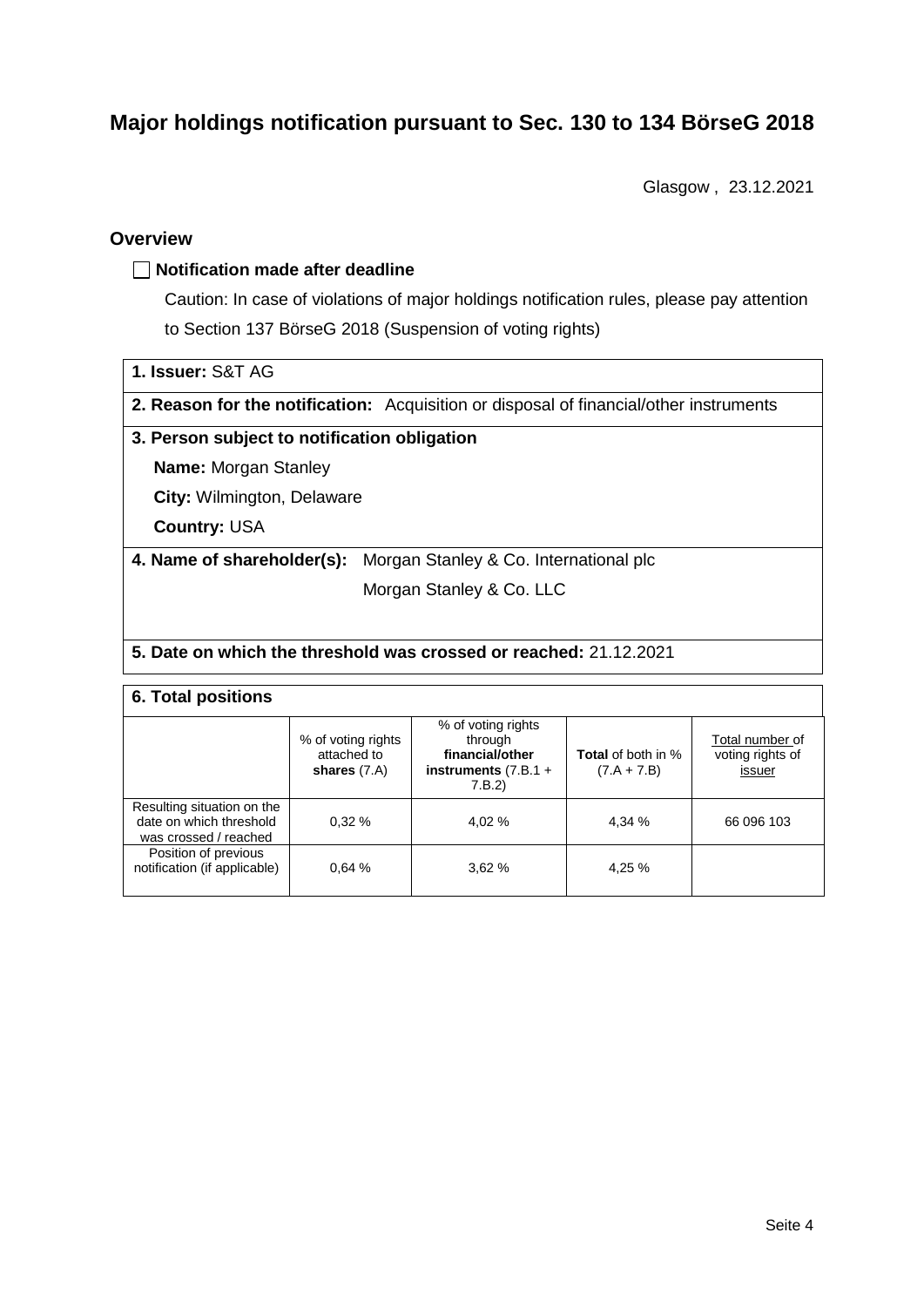# **Major holdings notification pursuant to Sec. 130 to 134 BörseG 2018**

Glasgow , 23.12.2021

## **Overview**

### **Notification made after deadline**

Caution: In case of violations of major holdings notification rules, please pay attention to Section 137 BörseG 2018 (Suspension of voting rights)

**2. Reason for the notification:** Acquisition or disposal of financial/other instruments

#### **3. Person subject to notification obligation**

**Name:** Morgan Stanley

**City:** Wilmington, Delaware

**Country:** USA

**4. Name of shareholder(s):** Morgan Stanley & Co. International plc

Morgan Stanley & Co. LLC

#### **5. Date on which the threshold was crossed or reached:** 21.12.2021

## **6. Total positions**

|                                                                                | % of voting rights<br>attached to<br>shares $(7.A)$ | % of voting rights<br>through<br>financial/other<br>instruments $(7.B.1 +$<br>7.B.2) | <b>Total</b> of both in %<br>$(7.A + 7.B)$ | Total number of<br>voting rights of<br>issuer |  |  |
|--------------------------------------------------------------------------------|-----------------------------------------------------|--------------------------------------------------------------------------------------|--------------------------------------------|-----------------------------------------------|--|--|
| Resulting situation on the<br>date on which threshold<br>was crossed / reached | 0.32%                                               | 4.02 %                                                                               | 4,34 %                                     | 66 096 103                                    |  |  |
| Position of previous<br>notification (if applicable)                           | 0.64%                                               | 3.62%                                                                                | 4,25 %                                     |                                               |  |  |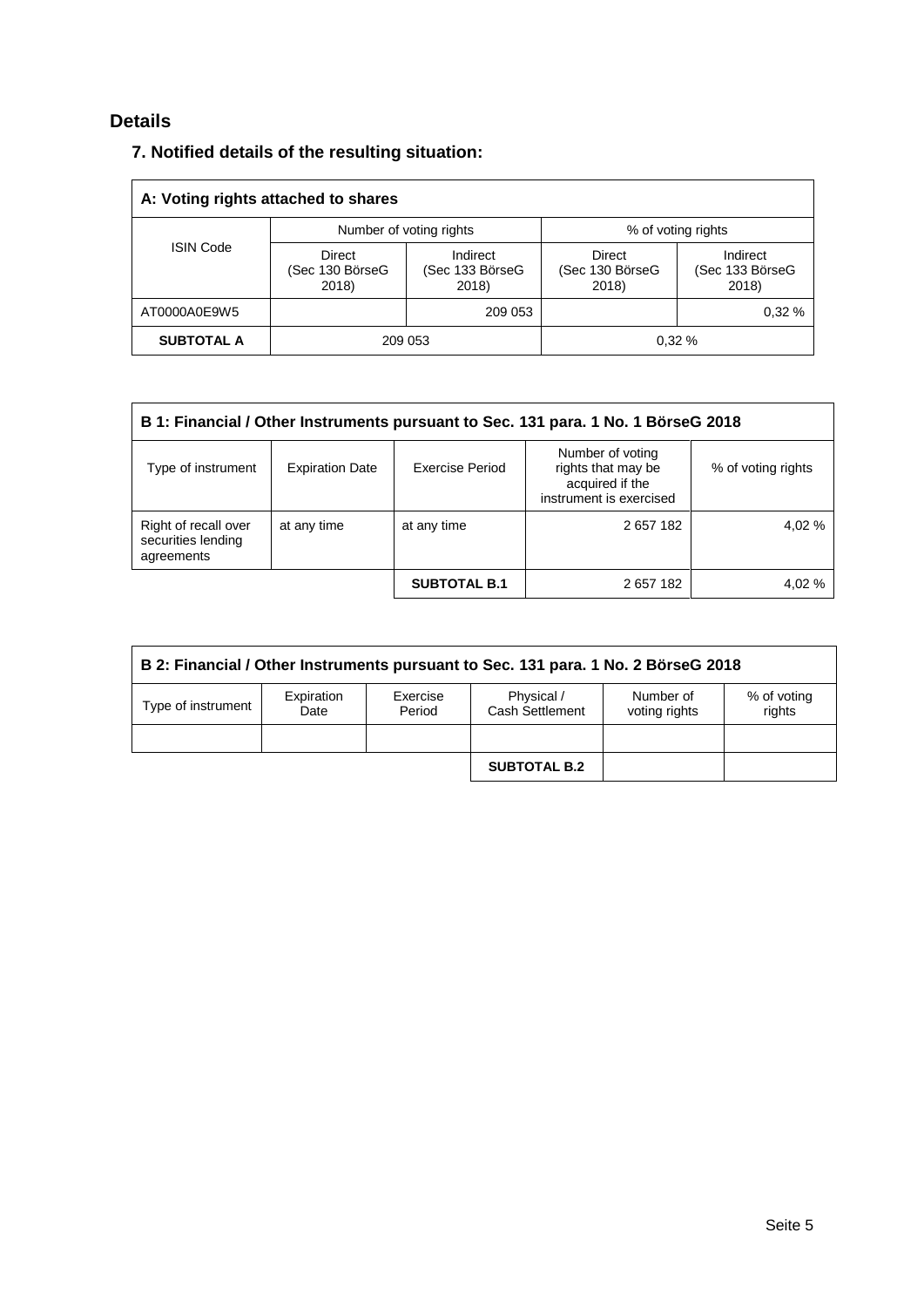# **Details**

# **7. Notified details of the resulting situation:**

| A: Voting rights attached to shares |                                           |                                      |                                    |                                      |  |  |
|-------------------------------------|-------------------------------------------|--------------------------------------|------------------------------------|--------------------------------------|--|--|
|                                     |                                           | Number of voting rights              | % of voting rights                 |                                      |  |  |
| <b>ISIN Code</b>                    | <b>Direct</b><br>(Sec 130 BörseG<br>2018) | Indirect<br>(Sec 133 BörseG<br>2018) | Direct<br>(Sec 130 BörseG<br>2018) | Indirect<br>(Sec 133 BörseG<br>2018) |  |  |
| AT0000A0E9W5                        |                                           | 209 053                              |                                    | 0.32%                                |  |  |
| <b>SUBTOTAL A</b>                   |                                           | 209 053                              |                                    | 0.32%                                |  |  |

| B 1: Financial / Other Instruments pursuant to Sec. 131 para. 1 No. 1 BörseG 2018 |                        |                     |                                                                                      |                    |  |  |
|-----------------------------------------------------------------------------------|------------------------|---------------------|--------------------------------------------------------------------------------------|--------------------|--|--|
| Type of instrument                                                                | <b>Expiration Date</b> | Exercise Period     | Number of voting<br>rights that may be<br>acquired if the<br>instrument is exercised | % of voting rights |  |  |
| Right of recall over<br>securities lending<br>agreements                          | at any time            | at any time         | 2 657 182                                                                            | 4.02 %             |  |  |
|                                                                                   |                        | <b>SUBTOTAL B.1</b> | 2657182                                                                              | 4,02%              |  |  |

| B 2: Financial / Other Instruments pursuant to Sec. 131 para. 1 No. 2 BörseG 2018 |                    |                    |                               |                            |                       |  |
|-----------------------------------------------------------------------------------|--------------------|--------------------|-------------------------------|----------------------------|-----------------------|--|
| Type of instrument                                                                | Expiration<br>Date | Exercise<br>Period | Physical /<br>Cash Settlement | Number of<br>voting rights | % of voting<br>rights |  |
|                                                                                   |                    |                    |                               |                            |                       |  |
|                                                                                   |                    |                    | <b>SUBTOTAL B.2</b>           |                            |                       |  |